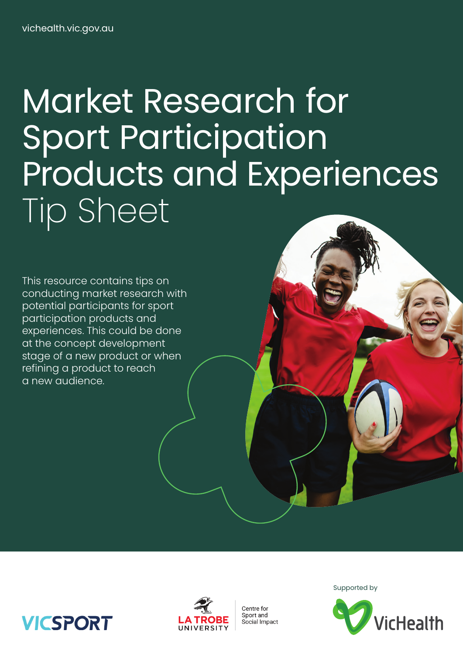# Market Research for Sport Participation Products and Experiences Tip Sheet

This resource contains tips on conducting market research with potential participants for sport participation products and experiences. This could be done at the concept development stage of a new product or when refining a product to reach a new audience.



Centre for Sport and Social Impact Supported by



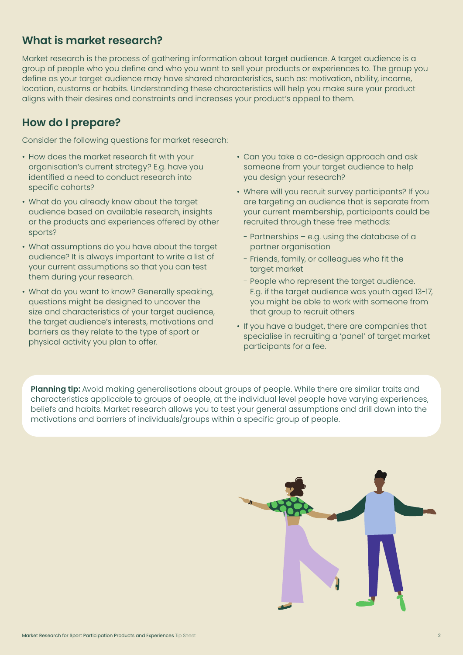# **What is market research?**

Market research is the process of gathering information about target audience. A target audience is a group of people who you define and who you want to sell your products or experiences to. The group you define as your target audience may have shared characteristics, such as: motivation, ability, income, location, customs or habits. Understanding these characteristics will help you make sure your product aligns with their desires and constraints and increases your product's appeal to them.

# **How do I prepare?**

Consider the following questions for market research:

- How does the market research fit with your organisation's current strategy? E.g. have you identified a need to conduct research into specific cohorts?
- What do you already know about the target audience based on available research, insights or the products and experiences offered by other sports?
- What assumptions do you have about the target audience? It is always important to write a list of your current assumptions so that you can test them during your research.
- What do you want to know? Generally speaking, questions might be designed to uncover the size and characteristics of your target audience, the target audience's interests, motivations and barriers as they relate to the type of sport or physical activity you plan to offer.
- Can you take a co-design approach and ask someone from your target audience to help you design your research?
- Where will you recruit survey participants? If you are targeting an audience that is separate from your current membership, participants could be recruited through these free methods:
	- Partnerships e.g. using the database of a partner organisation
	- Friends, family, or colleagues who fit the target market
	- People who represent the target audience. E.g. if the target audience was youth aged 13-17, you might be able to work with someone from that group to recruit others
- If you have a budget, there are companies that specialise in recruiting a 'panel' of target market participants for a fee.

**Planning tip:** Avoid making generalisations about groups of people. While there are similar traits and characteristics applicable to groups of people, at the individual level people have varying experiences, beliefs and habits. Market research allows you to test your general assumptions and drill down into the motivations and barriers of individuals/groups within a specific group of people.

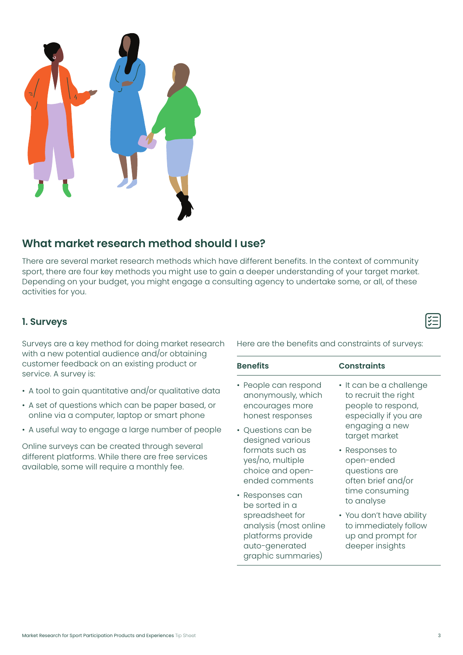

# **What market research method should I use?**

There are several market research methods which have different benefits. In the context of community sport, there are four key methods you might use to gain a deeper understanding of your target market. Depending on your budget, you might engage a consulting agency to undertake some, or all, of these activities for you.

### **1. Surveys**

Surveys are a key method for doing market research with a new potential audience and/or obtaining customer feedback on an existing product or service. A survey is:

- A tool to gain quantitative and/or qualitative data
- A set of questions which can be paper based, or online via a computer, laptop or smart phone
- A useful way to engage a large number of people

Online surveys can be created through several different platforms. While there are free services available, some will require a monthly fee.

Here are the benefits and constraints of surveys:

| <b>Benefits</b>                                                                                       | <b>Constraints</b>                                                                        |
|-------------------------------------------------------------------------------------------------------|-------------------------------------------------------------------------------------------|
| • People can respond                                                                                  | • It can be a challenge                                                                   |
| anonymously, which                                                                                    | to recruit the right                                                                      |
| encourages more                                                                                       | people to respond,                                                                        |
| honest responses                                                                                      | especially if you are                                                                     |
| • Questions can be                                                                                    | engaging a new                                                                            |
| designed various                                                                                      | target market                                                                             |
| formats such as                                                                                       | • Responses to                                                                            |
| yes/no, multiple                                                                                      | open-ended                                                                                |
| choice and open-                                                                                      | questions are                                                                             |
| ended comments                                                                                        | often brief and/or                                                                        |
| • Responses can                                                                                       | time consuming                                                                            |
| be sorted in a                                                                                        | to analyse                                                                                |
| spreadsheet for<br>analysis (most online<br>platforms provide<br>auto-generated<br>graphic summaries) | • You don't have ability<br>to immediately follow<br>up and prompt for<br>deeper insights |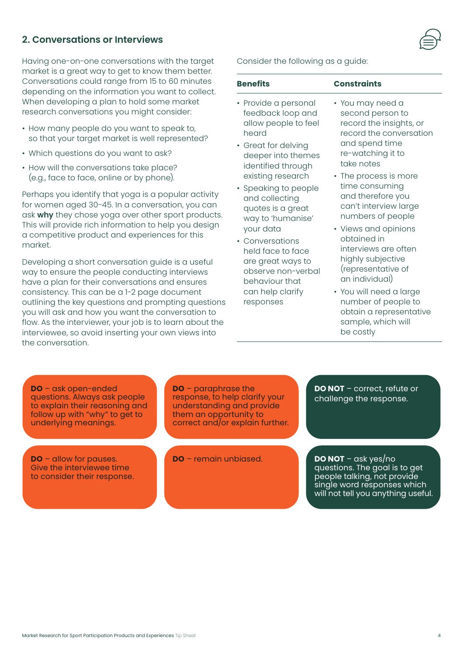**DO** – ask open-ended

underlying meanings.

**DO** – allow for pauses. Give the interviewee time to consider their response.

questions. Always ask people to explain their reasoning and follow up with "why" to get to

**DO** – paraphrase the understanding and provide

response, to help clarify your them an opportunity to correct and/or explain further.

**DO** – remain unbiased.

**DO NOT** – correct, refute or challenge the response.

• The process is more time consuming and therefore you can't interview large numbers of people • Views and opinions

second person to record the insights, or record the conversation

and spend time re-watching it to

take notes

- obtained in interviews are often highly subjective (representative of an individual)
- You will need a large number of people to obtain a representative sample, which will be costly

**Benefits Constraints** • You may need a

Consider the following as a guide:

- Provide a personal feedback loop and allow people to feel heard
- Great for delving deeper into themes identified through existing research
- Speaking to people and collecting quotes is a great way to 'humanise' your data
- Conversations held face to face are great ways to observe non-verbal behaviour that can help clarify responses

# **2. Conversations or Interviews**

Having one-on-one conversations with the target market is a great way to get to know them better. Conversations could range from 15 to 60 minutes depending on the information you want to collect. When developing a plan to hold some market research conversations you might consider:

- How many people do you want to speak to, so that your target market is well represented?
- Which questions do you want to ask?
- How will the conversations take place? (e.g., face to face, online or by phone).

Perhaps you identify that yoga is a popular activity for women aged 30-45. In a conversation, you can ask **why** they chose yoga over other sport products. This will provide rich information to help you design a competitive product and experiences for this market.

Developing a short conversation guide is a useful way to ensure the people conducting interviews have a plan for their conversations and ensures consistency. This can be a 1-2 page document outlining the key questions and prompting questions you will ask and how you want the conversation to flow. As the interviewer, your job is to learn about the interviewee, so avoid inserting your own views into the conversation.

**DO NOT** – ask yes/no questions. The goal is to get people talking, not provide single word responses which will not tell you anything useful.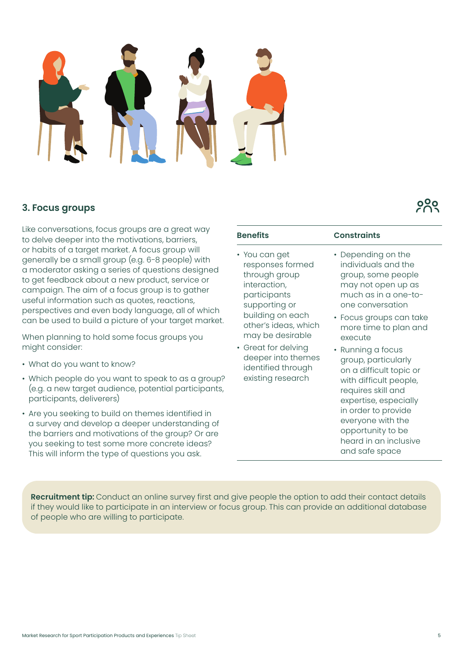

### **3. Focus groups**

Like conversations, focus groups are a great way to delve deeper into the motivations, barriers, or habits of a target market. A focus group will generally be a small group (e.g. 6-8 people) with a moderator asking a series of questions designed to get feedback about a new product, service or campaign. The aim of a focus group is to gather useful information such as quotes, reactions, perspectives and even body language, all of which can be used to build a picture of your target market.

When planning to hold some focus groups you might consider:

- What do you want to know?
- Which people do you want to speak to as a group? (e.g. a new target audience, potential participants, participants, deliverers)
- Are you seeking to build on themes identified in a survey and develop a deeper understanding of the barriers and motivations of the group? Or are you seeking to test some more concrete ideas? This will inform the type of questions you ask.

| <b>Benefits</b>                                                                                                                                                                                                                                             | <b>Constraints</b>                                                                                                                                                                                                                                                                                                                                                                                                                                         |
|-------------------------------------------------------------------------------------------------------------------------------------------------------------------------------------------------------------------------------------------------------------|------------------------------------------------------------------------------------------------------------------------------------------------------------------------------------------------------------------------------------------------------------------------------------------------------------------------------------------------------------------------------------------------------------------------------------------------------------|
| • You can get<br>responses formed<br>through group<br>interaction,<br>participants<br>supporting or<br>building on each<br>other's ideas, which<br>may be desirable<br>• Great for delving<br>deeper into themes<br>identified through<br>existing research | Depending on the<br>individuals and the<br>group, some people<br>may not open up as<br>much as in a one-to-<br>one conversation<br>• Focus groups can take<br>more time to plan and<br>execute<br>• Running a focus<br>group, particularly<br>on a difficult topic or<br>with difficult people,<br>requires skill and<br>expertise, especially<br>in order to provide<br>everyone with the<br>opportunity to be<br>heard in an inclusive<br>and safe space |

**Recruitment tip:** Conduct an online survey first and give people the option to add their contact details if they would like to participate in an interview or focus group. This can provide an additional database of people who are willing to participate.

၀ွင္လိ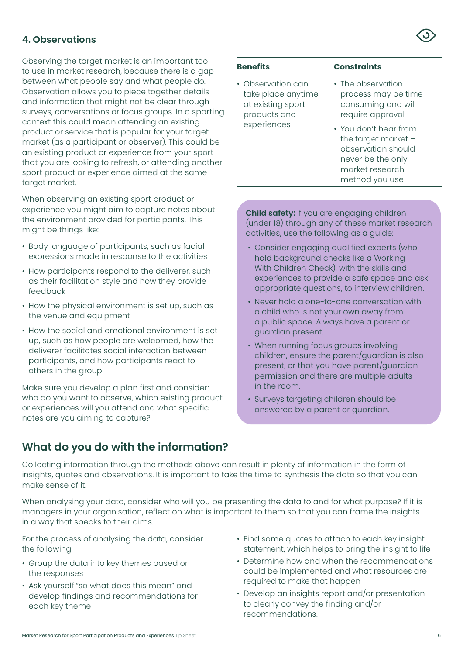Observing the target market is an important tool to use in market research, because there is a gap between what people say and what people do. Observation allows you to piece together details and information that might not be clear through surveys, conversations or focus groups. In a sporting context this could mean attending an existing product or service that is popular for your target market (as a participant or observer). This could be an existing product or experience from your sport that you are looking to refresh, or attending another sport product or experience aimed at the same target market.

When observing an existing sport product or experience you might aim to capture notes about the environment provided for participants. This might be things like:

- Body language of participants, such as facial expressions made in response to the activities
- How participants respond to the deliverer, such as their facilitation style and how they provide feedback
- How the physical environment is set up, such as the venue and equipment
- How the social and emotional environment is set up, such as how people are welcomed, how the deliverer facilitates social interaction between participants, and how participants react to others in the group

Make sure you develop a plan first and consider: who do you want to observe, which existing product or experiences will you attend and what specific notes are you aiming to capture?

## **What do you do with the information?**

# **Benefits Constraints**

- Observation can take place anytime at existing sport products and experiences
- The observation process may be time consuming and will require approval
- You don't hear from the target market – observation should never be the only market research method you use

**Child safety:** if you are engaging children (under 18) through any of these market research activities, use the following as a guide:

- Consider engaging qualified experts (who hold background checks like a Working With Children Check), with the skills and experiences to provide a safe space and ask appropriate questions, to interview children.
- Never hold a one-to-one conversation with a child who is not your own away from a public space. Always have a parent or guardian present.
- When running focus groups involving children, ensure the parent/guardian is also present, or that you have parent/guardian permission and there are multiple adults in the room.
- Surveys targeting children should be answered by a parent or guardian.

Collecting information through the methods above can result in plenty of information in the form of insights, quotes and observations. It is important to take the time to synthesis the data so that you can make sense of it.

When analysing your data, consider who will you be presenting the data to and for what purpose? If it is managers in your organisation, reflect on what is important to them so that you can frame the insights in a way that speaks to their aims.

For the process of analysing the data, consider the following:

- Group the data into key themes based on the responses
- Ask yourself "so what does this mean" and develop findings and recommendations for each key theme
- Find some quotes to attach to each key insight statement, which helps to bring the insight to life
- Determine how and when the recommendations could be implemented and what resources are required to make that happen
- Develop an insights report and/or presentation to clearly convey the finding and/or recommendations.